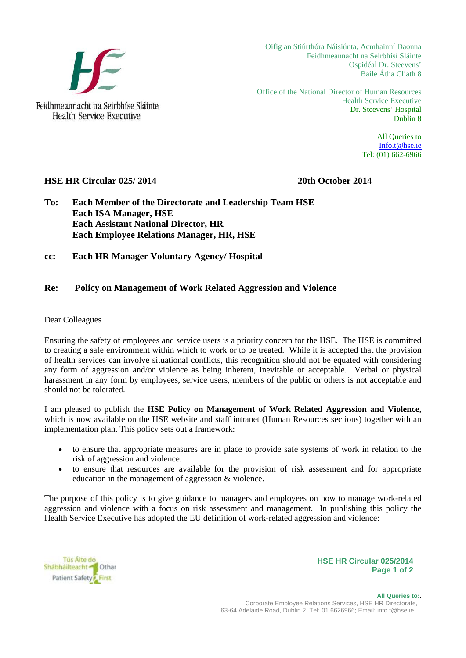

Oifig an Stiúrthóra Náisiúnta, Acmhainní Daonna Feidhmeannacht na Seirbhísí Sláinte Ospidéal Dr. Steevens' Baile Átha Cliath 8

Office of the National Director of Human Resources Health Service Executive Dr. Steevens' Hospital Dublin 8

> All Queries to Info.t@hse.ie Tel: (01) 662-6966

## **HSE HR Circular 025/ 2014 20th October 2014**

**To: Each Member of the Directorate and Leadership Team HSE Each ISA Manager, HSE Each Assistant National Director, HR Each Employee Relations Manager, HR, HSE** 

**cc: Each HR Manager Voluntary Agency/ Hospital** 

## **Re: Policy on Management of Work Related Aggression and Violence**

## Dear Colleagues

Ensuring the safety of employees and service users is a priority concern for the HSE. The HSE is committed to creating a safe environment within which to work or to be treated. While it is accepted that the provision of health services can involve situational conflicts, this recognition should not be equated with considering any form of aggression and/or violence as being inherent, inevitable or acceptable. Verbal or physical harassment in any form by employees, service users, members of the public or others is not acceptable and should not be tolerated.

I am pleased to publish the **HSE Policy on Management of Work Related Aggression and Violence,**  which is now available on the HSE website and staff intranet (Human Resources sections) together with an implementation plan. This policy sets out a framework:

- to ensure that appropriate measures are in place to provide safe systems of work in relation to the risk of aggression and violence.
- to ensure that resources are available for the provision of risk assessment and for appropriate education in the management of aggression & violence.

The purpose of this policy is to give guidance to managers and employees on how to manage work-related aggression and violence with a focus on risk assessment and management. In publishing this policy the Health Service Executive has adopted the EU definition of work-related aggression and violence:

Tús Aite do Shábháilteacht <sup>1</sup> Othar Patient Safety<sup>2</sup> First

**HSE HR Circular 025/2014 Page 1 of 2**

 **All Queries to:**. Corporate Employee Relations Services, HSE HR Directorate, 63-64 Adelaide Road, Dublin 2. Tel: 01 6626966; Email: info.t@hse.ie